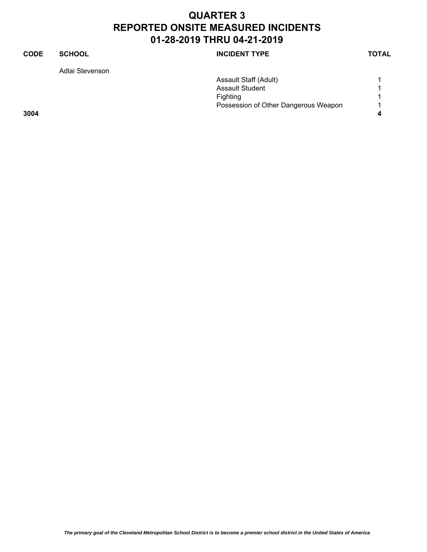# **CODE SCHOOL SCHOOL INCIDENT TYPE TOTAL** Adlai Stevenson Assault Staff (Adult) 1 Assault Student 1 Fighting 1 Possession of Other Dangerous Weapon 1 **3004 4**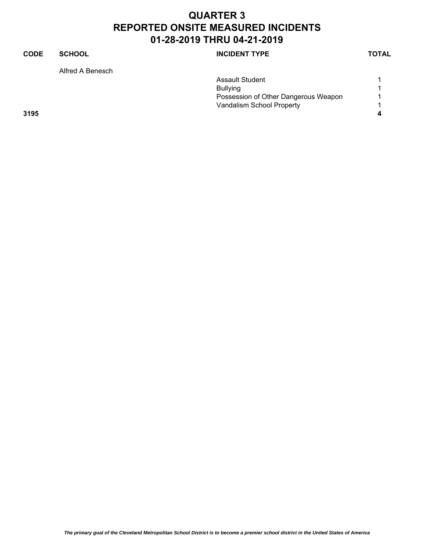#### **CODE SCHOOL SCHOOL INCIDENT TYPE TOTAL** Alfred A Benesch Assault Student 1 Bullying 1 Possession of Other Dangerous Weapon 1 Vandalism School Property **1 3195 4**

*The primary goal of the Cleveland Metropolitan School District is to become a premier school district in the United States of America*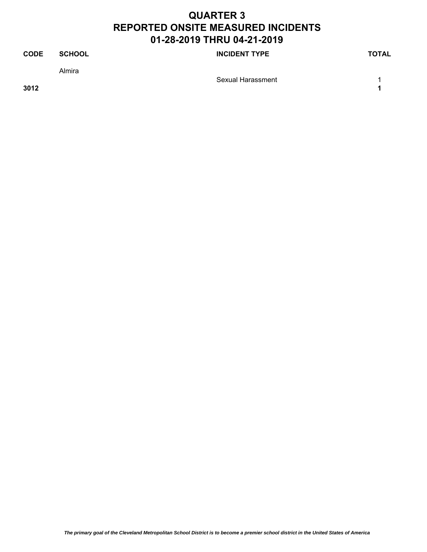| <b>CODE</b> | <b>SCHOOL</b> | <b>INCIDENT TYPE</b> | TOTAL |
|-------------|---------------|----------------------|-------|
|             | Almira        |                      |       |
| 3012        |               | Sexual Harassment    |       |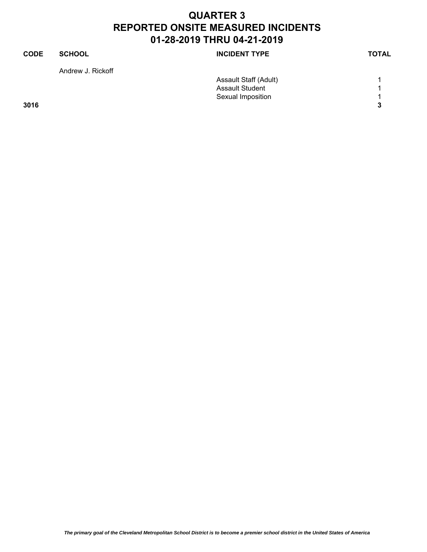| <b>CODE</b> | <b>SCHOOL</b>     | <b>INCIDENT TYPE</b>   | <b>TOTAL</b> |
|-------------|-------------------|------------------------|--------------|
|             | Andrew J. Rickoff |                        |              |
|             |                   | Assault Staff (Adult)  |              |
|             |                   | <b>Assault Student</b> | 1            |
|             |                   | Sexual Imposition      | -1           |
| 3016        |                   |                        | 3            |
|             |                   |                        |              |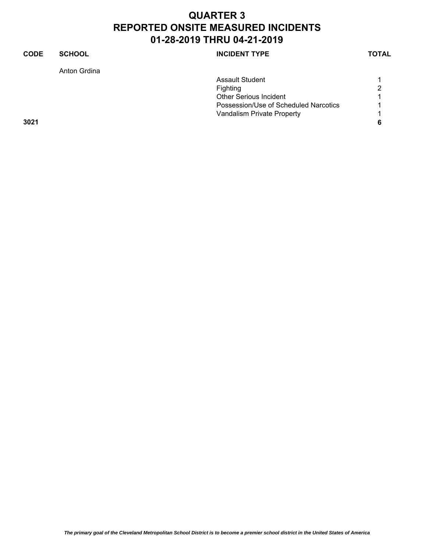| <b>CODE</b> | <b>SCHOOL</b> | <b>INCIDENT TYPE</b>                  | <b>TOTAL</b> |
|-------------|---------------|---------------------------------------|--------------|
|             | Anton Grdina  |                                       |              |
|             |               | <b>Assault Student</b>                |              |
|             |               | Fighting                              | 2            |
|             |               | <b>Other Serious Incident</b>         |              |
|             |               | Possession/Use of Scheduled Narcotics |              |
|             |               | Vandalism Private Property            | ◢            |
| 3021        |               |                                       | 6            |
|             |               |                                       |              |
|             |               |                                       |              |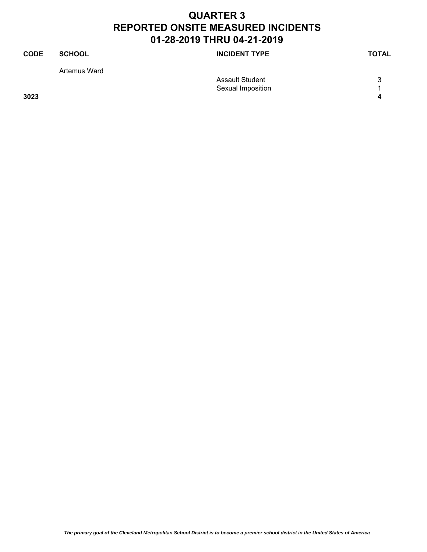| <b>CODE</b> | <b>SCHOOL</b> | <b>INCIDENT TYPE</b>   | <b>TOTAL</b> |
|-------------|---------------|------------------------|--------------|
|             | Artemus Ward  |                        |              |
|             |               | <b>Assault Student</b> | 3            |
|             |               | Sexual Imposition      |              |
| 3023        |               |                        | Δ            |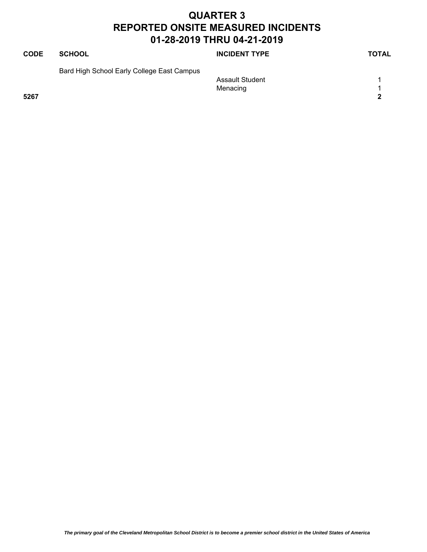| <b>CODE</b> | <b>SCHOOL</b>                              | <b>INCIDENT TYPE</b>   | <b>TOTAL</b> |
|-------------|--------------------------------------------|------------------------|--------------|
|             | Bard High School Early College East Campus |                        |              |
|             |                                            | <b>Assault Student</b> |              |
|             |                                            | Menacing               |              |
| 5267        |                                            |                        | $\mathbf{2}$ |
|             |                                            |                        |              |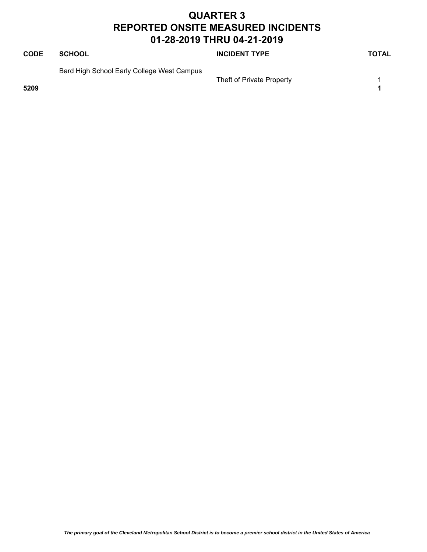| <b>CODE</b> | <b>SCHOOL</b>                              | <b>INCIDENT TYPE</b>      | <b>TOTAL</b> |
|-------------|--------------------------------------------|---------------------------|--------------|
| 5209        | Bard High School Early College West Campus | Theft of Private Property |              |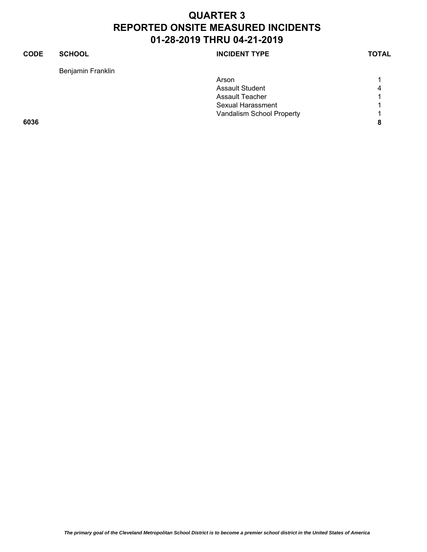#### **CODE SCHOOL SCHOOL INCIDENT TYPE TOTAL** Benjamin Franklin Arson and the contract of the contract of the contract of the contract of the contract of the contract of the contract of the contract of the contract of the contract of the contract of the contract of the contract of the Assault Student 4 Assault Teacher 1 1 Sexual Harassment 1 Vandalism School Property **1 6036 8**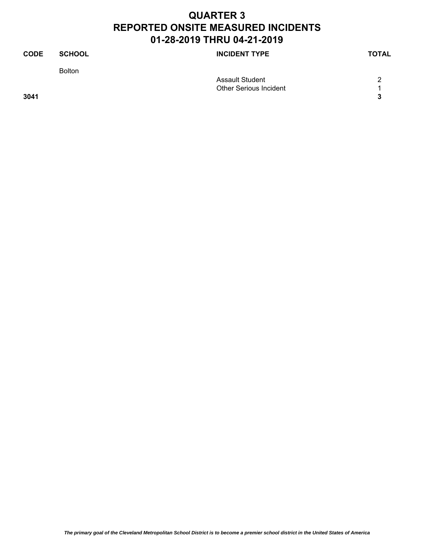| <b>CODE</b> | <b>SCHOOL</b> | <b>INCIDENT TYPE</b>          | <b>TOTAL</b> |
|-------------|---------------|-------------------------------|--------------|
|             | <b>Bolton</b> |                               |              |
|             |               | <b>Assault Student</b>        | っ            |
|             |               | <b>Other Serious Incident</b> |              |
| 3041        |               |                               | 3            |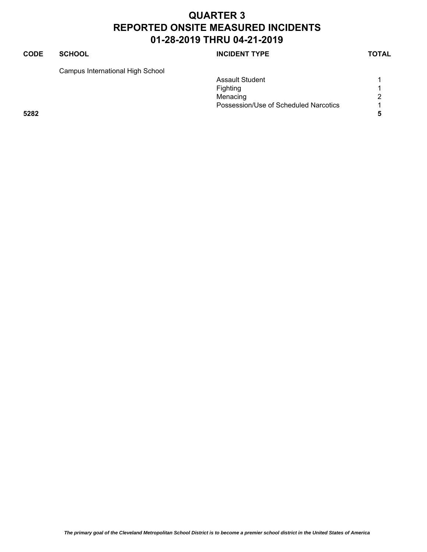#### **CODE SCHOOL SCHOOL INCIDENT TYPE TOTAL**

Campus International High School

|      | ັ |                                       |   |
|------|---|---------------------------------------|---|
|      |   | <b>Assault Student</b>                |   |
|      |   | Fighting                              |   |
|      |   | Menacing                              | 2 |
|      |   | Possession/Use of Scheduled Narcotics |   |
| 5282 |   |                                       |   |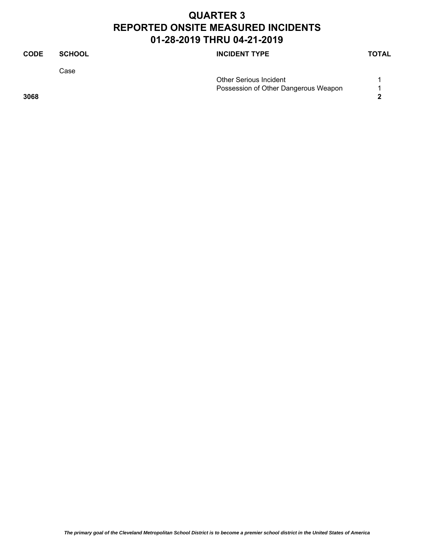| <b>CODE</b> | <b>SCHOOL</b> | <b>INCIDENT TYPE</b>                 | <b>TOTAL</b> |
|-------------|---------------|--------------------------------------|--------------|
|             | Case          |                                      |              |
|             |               | <b>Other Serious Incident</b>        |              |
|             |               | Possession of Other Dangerous Weapon |              |
| 3068        |               |                                      | າ            |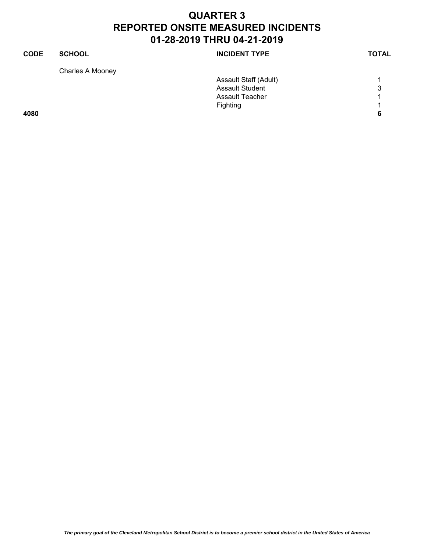| <b>CODE</b> | <b>SCHOOL</b>    | <b>INCIDENT TYPE</b>   | <b>TOTAL</b> |
|-------------|------------------|------------------------|--------------|
|             | Charles A Mooney |                        |              |
|             |                  | Assault Staff (Adult)  | 1            |
|             |                  | <b>Assault Student</b> | 3            |
|             |                  | Assault Teacher        | 1            |
|             |                  | Fighting               | 1            |
| 4080        |                  |                        | 6            |
|             |                  |                        |              |
|             |                  |                        |              |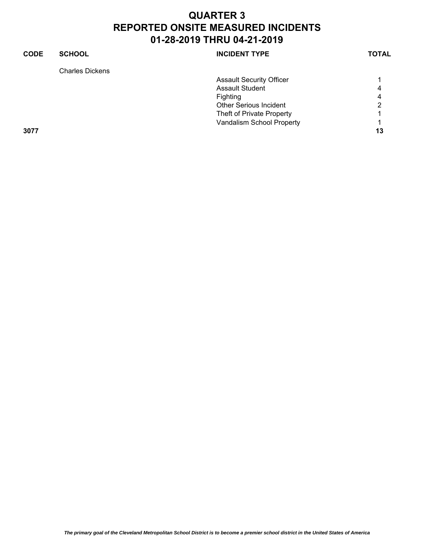| <b>CODE</b> | <b>SCHOOL</b>          | <b>INCIDENT TYPE</b>            | <b>TOTAL</b> |
|-------------|------------------------|---------------------------------|--------------|
|             | <b>Charles Dickens</b> |                                 |              |
|             |                        | <b>Assault Security Officer</b> |              |
|             |                        | <b>Assault Student</b>          | 4            |
|             |                        | <b>Fighting</b>                 | 4            |
|             |                        | <b>Other Serious Incident</b>   | っ            |
|             |                        | Theft of Private Property       |              |
|             |                        | Vandalism School Property       |              |
| 3077        |                        |                                 | 13           |
|             |                        |                                 |              |
|             |                        |                                 |              |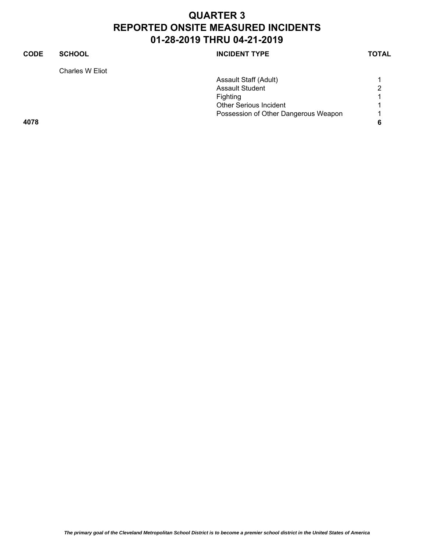| <b>CODE</b> | <b>SCHOOL</b>   | <b>INCIDENT TYPE</b>                 | <b>TOTAL</b> |
|-------------|-----------------|--------------------------------------|--------------|
|             | Charles W Eliot |                                      |              |
|             |                 | Assault Staff (Adult)                |              |
|             |                 | <b>Assault Student</b>               | າ            |
|             |                 | Fighting                             |              |
|             |                 | <b>Other Serious Incident</b>        |              |
|             |                 | Possession of Other Dangerous Weapon | л            |
| 4078        |                 |                                      | 6            |
|             |                 |                                      |              |
|             |                 |                                      |              |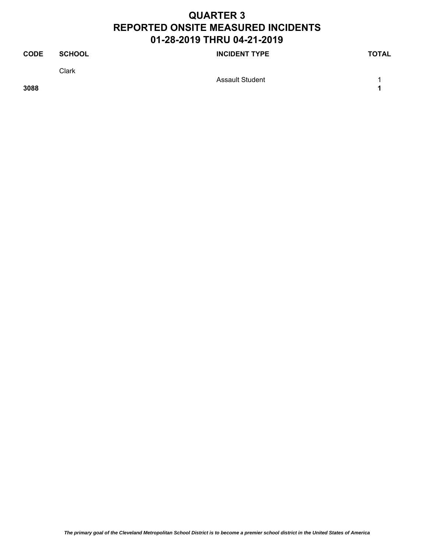| <b>CODE</b> | <b>SCHOOL</b> | <b>INCIDENT TYPE</b> | <b>TOTAL</b> |
|-------------|---------------|----------------------|--------------|
|             | Clark         |                      |              |
| 3088        |               | Assault Student      |              |

*The primary goal of the Cleveland Metropolitan School District is to become a premier school district in the United States of America*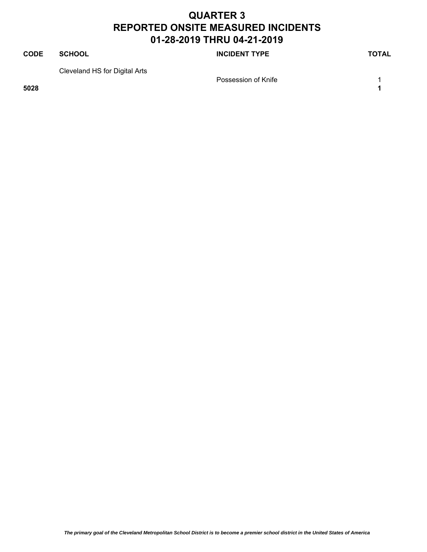#### **CODE SCHOOL SCHOOL SCHOOL SCHOOL SCHOOL** Cleveland HS for Digital Arts Possession of Knife 1 and 1 and 1 and 1 and 1 and 1 and 1 and 1 and 1 and 1 and 1 and 1 and 1 and 1 and 1 and 1

**5028 1**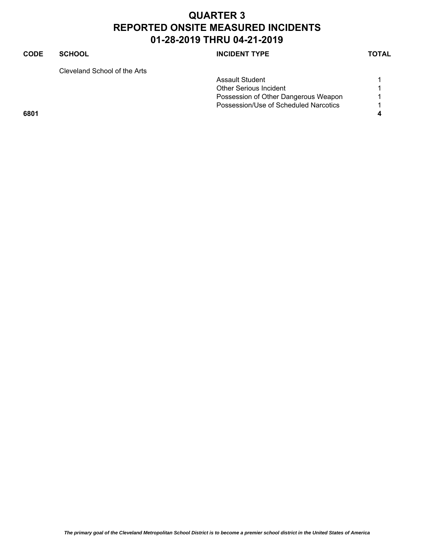#### **CODE SCHOOL SCHOOL INCIDENT TYPE TOTAL**

Cleveland School of the Arts

| Glevelation oction of the Mits. |                                       |  |
|---------------------------------|---------------------------------------|--|
|                                 | Assault Student                       |  |
|                                 | <b>Other Serious Incident</b>         |  |
|                                 | Possession of Other Dangerous Weapon  |  |
|                                 | Possession/Use of Scheduled Narcotics |  |
| 6801                            |                                       |  |
|                                 |                                       |  |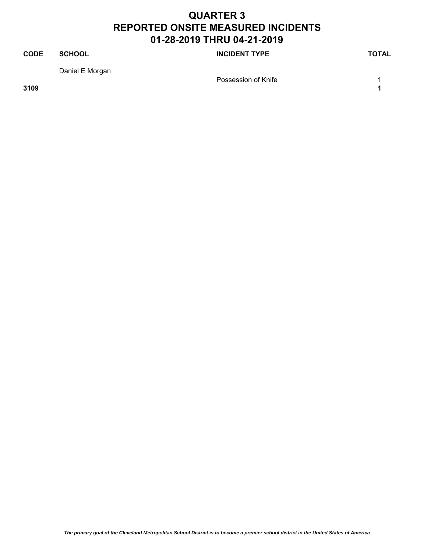#### **CODE SCHOOL SCHOOL INCIDENT TYPE TOTAL** Daniel E Morgan Possession of Knife 1 1

**3109 1**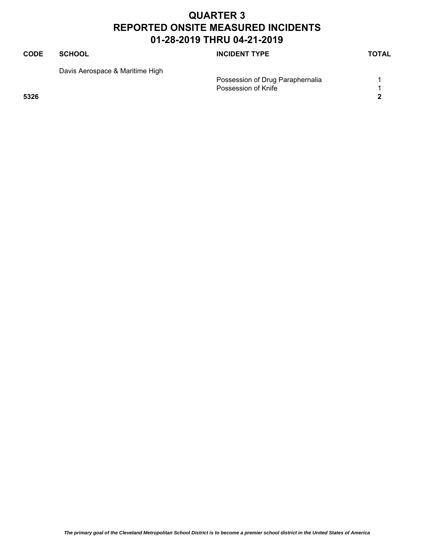#### **CODE SCHOOL SCHOOL INCIDENT TYPE TOTAL** Davis Aerospace & Maritime High Possession of Drug Paraphernalia 1 Possession of Knife 1 and 1 and 1 and 1 and 1 and 1 and 1 and 1 and 1 and 1 and 1 and 1 and 1 and 1 and 1 and 1 **5326 2**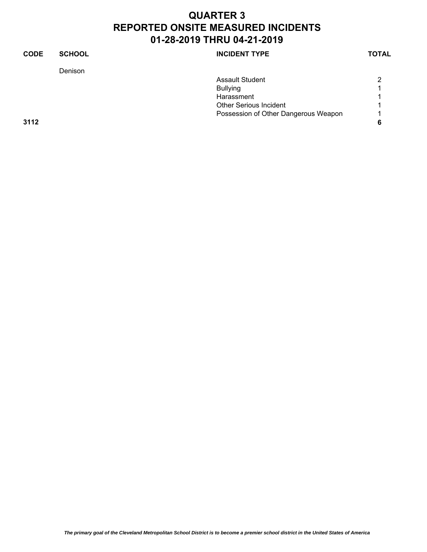| <b>CODE</b> | <b>SCHOOL</b> | <b>INCIDENT TYPE</b>                 | <b>TOTAL</b> |
|-------------|---------------|--------------------------------------|--------------|
|             | Denison       |                                      |              |
|             |               | <b>Assault Student</b>               | 2            |
|             |               | <b>Bullying</b>                      |              |
|             |               | Harassment                           |              |
|             |               | <b>Other Serious Incident</b>        |              |
|             |               | Possession of Other Dangerous Weapon |              |
| 3112        |               |                                      | 6            |
|             |               |                                      |              |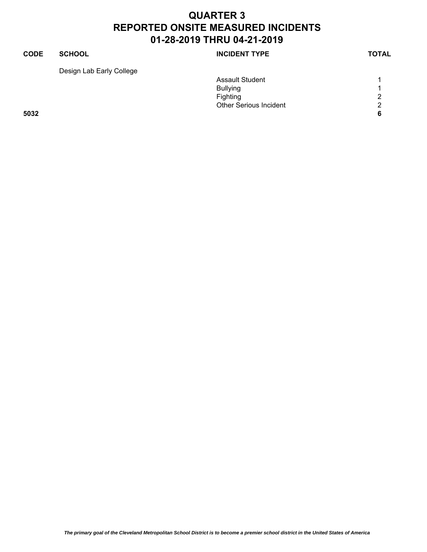#### **CODE SCHOOL SCHOOL INCIDENT TYPE TOTAL** Design Lab Early College Assault Student 1 1 Bullying 1 Fighting 2 Other Serious Incident 2 **5032 6**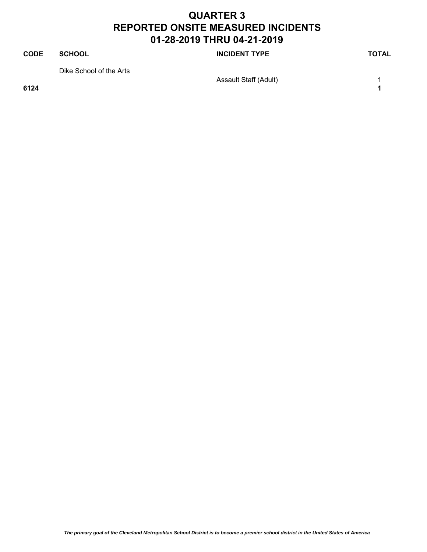# **CODE SCHOOL SCHOOL INCIDENT TYPE TOTAL** Dike School of the Arts Assault Staff (Adult) 1

**6124 1**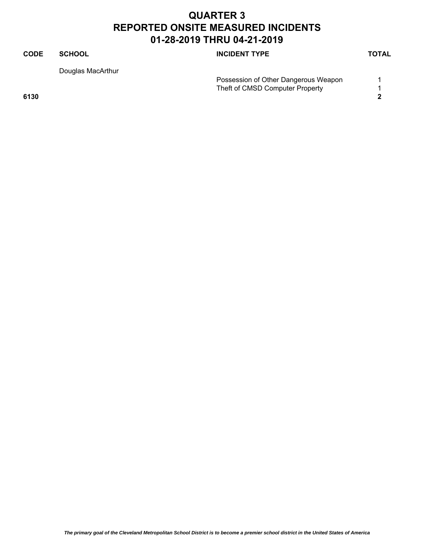#### **CODE SCHOOL SCHOOL INCIDENT TYPE TOTAL** Douglas MacArthur Possession of Other Dangerous Weapon 1 Theft of CMSD Computer Property 1 **6130 2**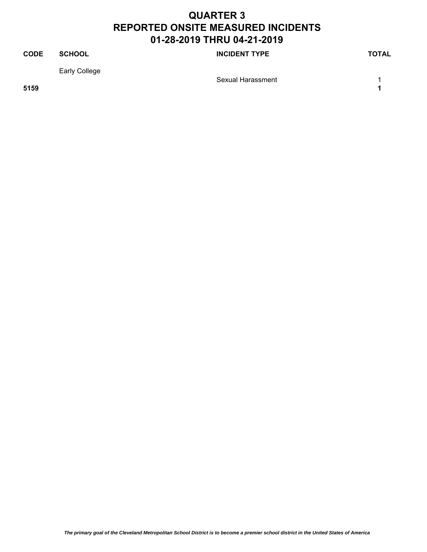#### **CODE SCHOOL SCHOOL INCIDENT TYPE TOTAL** Early College Sexual Harassment 1 **5159 1**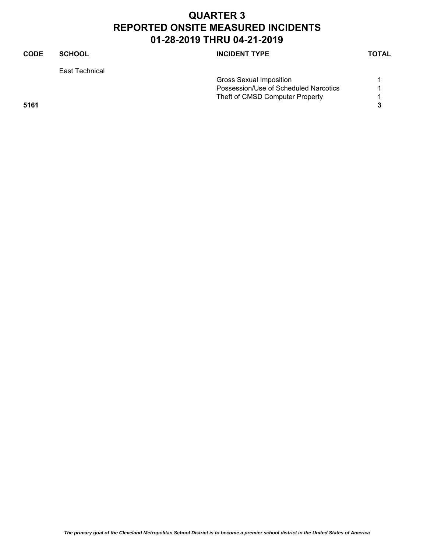| CODE | <b>SCHOOL</b>  | <b>INCIDENT TYPE</b>                  | <b>TOTAL</b> |
|------|----------------|---------------------------------------|--------------|
|      | East Technical |                                       |              |
|      |                | Gross Sexual Imposition               |              |
|      |                | Possession/Use of Scheduled Narcotics |              |
|      |                | Theft of CMSD Computer Property       |              |
| 5161 |                |                                       | 3            |
|      |                |                                       |              |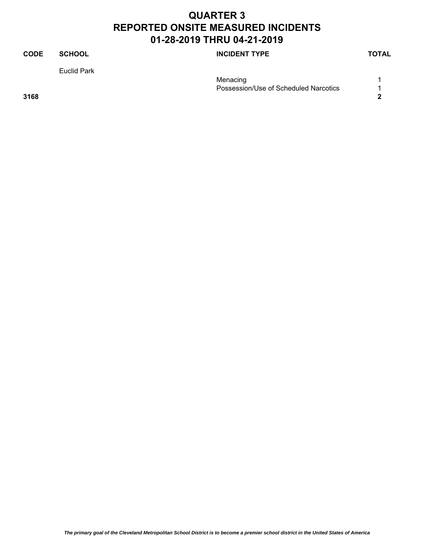#### **CODE SCHOOL SCHOOL INCIDENT TYPE TOTAL** Euclid Park Menacing 2012 12:00:00 12:00:00 12:00:00 12:00:00 12:00:00 12:00:00 12:00:00 12:00:00 12:00:00 12:00:00 12:00:00 12:00:00 12:00:00 12:00:00 12:00:00 12:00:00 12:00:00 12:00:00 12:00:00 12:00:00 12:00:00 12:00:00 12:00:00 1 Possession/Use of Scheduled Narcotics 1 **3168 2**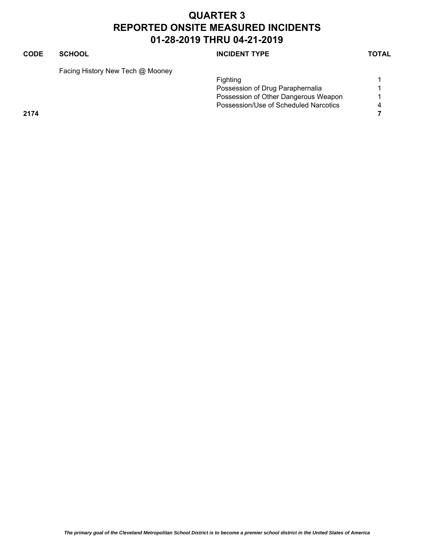#### **CODE SCHOOL SCHOOL INCIDENT TYPE TOTAL**

Facing History New Tech @ Mooney

|      |  |  | <b>Fighting</b>                       |  |
|------|--|--|---------------------------------------|--|
|      |  |  | Possession of Drug Paraphernalia      |  |
|      |  |  | Possession of Other Dangerous Weapon  |  |
|      |  |  | Possession/Use of Scheduled Narcotics |  |
| 2174 |  |  |                                       |  |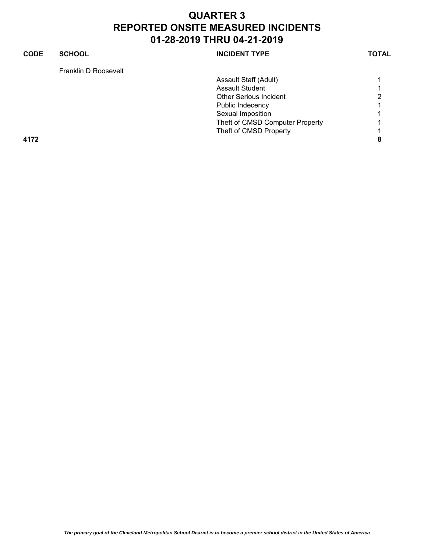| CODE | <b>SCHOOL</b>        | <b>INCIDENT TYPE</b>            | <b>TOTAL</b> |
|------|----------------------|---------------------------------|--------------|
|      | Franklin D Roosevelt |                                 |              |
|      |                      | Assault Staff (Adult)           |              |
|      |                      | Assault Student                 |              |
|      |                      | <b>Other Serious Incident</b>   | ∩            |
|      |                      | Public Indecency                |              |
|      |                      | Sexual Imposition               |              |
|      |                      | Theft of CMSD Computer Property |              |
|      |                      | Theft of CMSD Property          |              |
| 4172 |                      |                                 | 8            |
|      |                      |                                 |              |
|      |                      |                                 |              |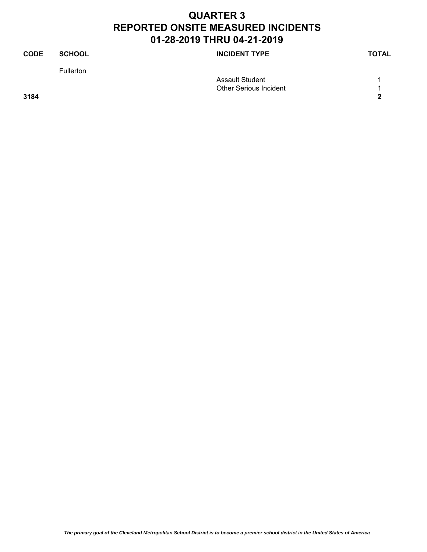| <b>CODE</b> | <b>SCHOOL</b>    | <b>INCIDENT TYPE</b>          | <b>TOTAL</b> |
|-------------|------------------|-------------------------------|--------------|
|             | <b>Fullerton</b> |                               |              |
|             |                  | <b>Assault Student</b>        |              |
|             |                  | <b>Other Serious Incident</b> |              |
| 3184        |                  |                               | 2            |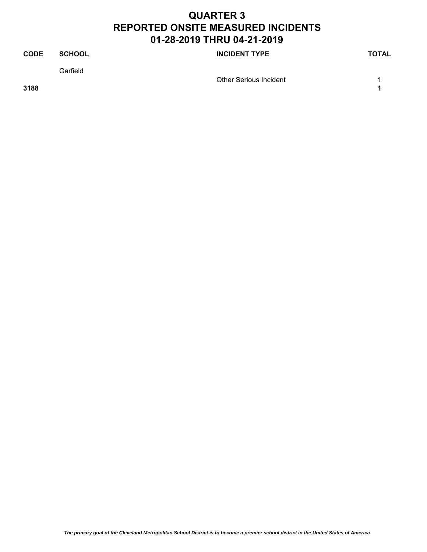| <b>CODE</b> | <b>SCHOOL</b> | <b>INCIDENT TYPE</b>          | TOTAL |
|-------------|---------------|-------------------------------|-------|
|             | Garfield      | <b>Other Serious Incident</b> |       |
| 3188        |               |                               |       |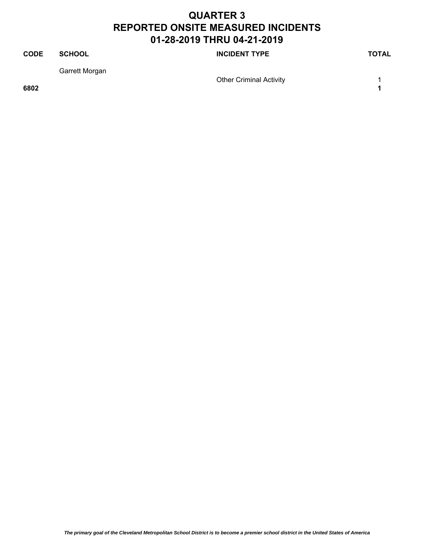#### **CODE SCHOOL SCHOOL INCIDENT TYPE TOTAL** Garrett Morgan Other Criminal Activity 1 **6802 1**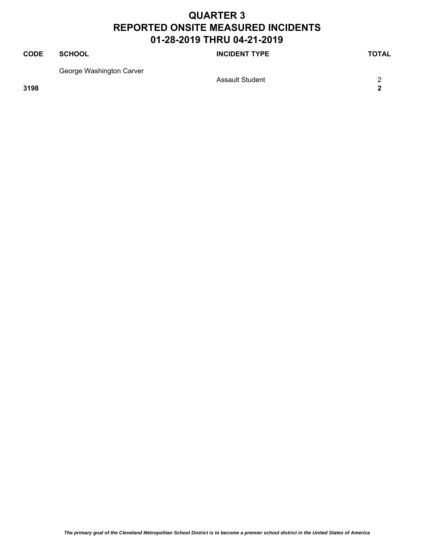| <b>CODE</b> | SCHOOL                   | <b>INCIDENT TYPE</b>   | TOTAL |
|-------------|--------------------------|------------------------|-------|
|             | George Washington Carver | <b>Assault Student</b> |       |
| 3198        |                          |                        | 2     |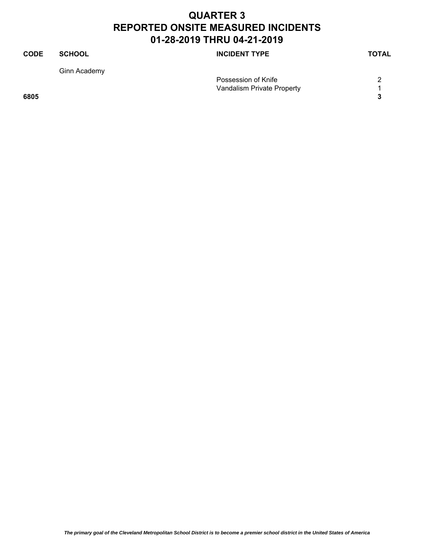| <b>CODE</b> | <b>SCHOOL</b> | <b>INCIDENT TYPE</b>       | <b>TOTAL</b> |
|-------------|---------------|----------------------------|--------------|
|             | Ginn Academy  |                            |              |
|             |               | Possession of Knife        |              |
|             |               | Vandalism Private Property |              |
| 6805        |               |                            | 3            |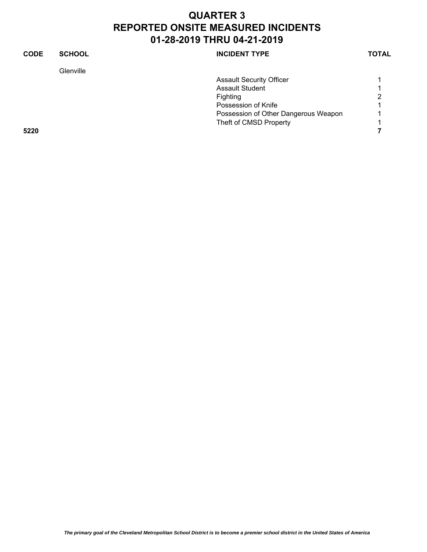| <b>CODE</b> | <b>SCHOOL</b> | <b>INCIDENT TYPE</b>                 | <b>TOTAL</b> |
|-------------|---------------|--------------------------------------|--------------|
|             | Glenville     |                                      |              |
|             |               | <b>Assault Security Officer</b>      |              |
|             |               | <b>Assault Student</b>               |              |
|             |               | Fighting                             | 2            |
|             |               | Possession of Knife                  |              |
|             |               | Possession of Other Dangerous Weapon |              |
|             |               | Theft of CMSD Property               |              |
| 5220        |               |                                      |              |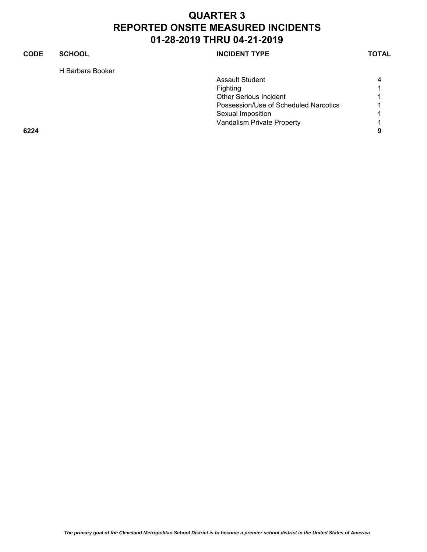#### **CODE SCHOOL SCHOOL INCIDENT TYPE TOTAL** H Barbara Booker Assault Student 4 Fighting 1 Other Serious Incident 1 Possession/Use of Scheduled Narcotics 1 Sexual Imposition 1 Vandalism Private Property **1 6224 9**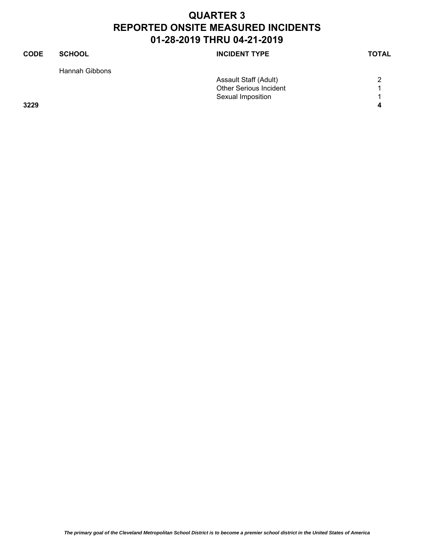| <b>CODE</b> | <b>SCHOOL</b>  | <b>INCIDENT TYPE</b>          | <b>TOTAL</b> |
|-------------|----------------|-------------------------------|--------------|
|             | Hannah Gibbons |                               |              |
|             |                | Assault Staff (Adult)         | 2            |
|             |                | <b>Other Serious Incident</b> |              |
|             |                | Sexual Imposition             | 1            |
| 3229        |                |                               | 4            |
|             |                |                               |              |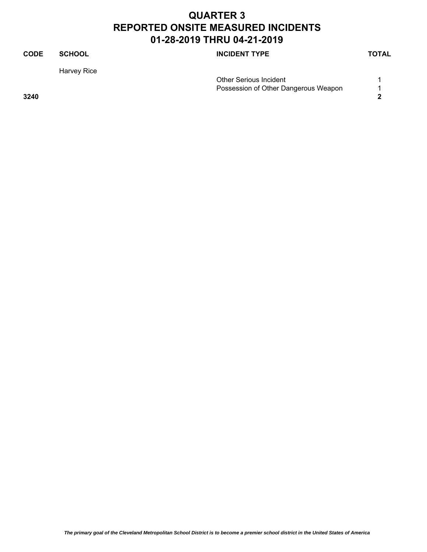| <b>CODE</b> | <b>SCHOOL</b> | <b>INCIDENT TYPE</b>                 | <b>TOTAL</b> |
|-------------|---------------|--------------------------------------|--------------|
|             | Harvey Rice   |                                      |              |
|             |               | <b>Other Serious Incident</b>        |              |
|             |               | Possession of Other Dangerous Weapon |              |
| 3240        |               |                                      | າ            |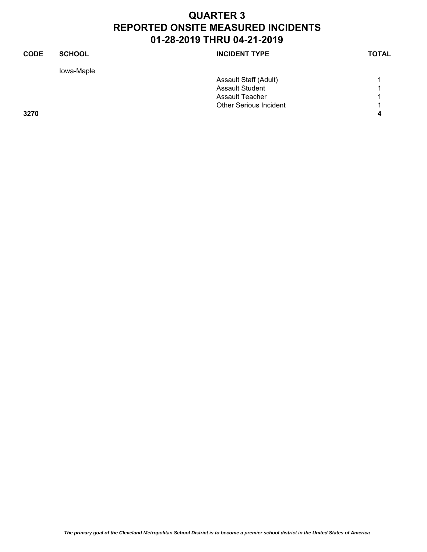| <b>CODE</b> | <b>SCHOOL</b> | <b>INCIDENT TYPE</b>          | <b>TOTAL</b> |
|-------------|---------------|-------------------------------|--------------|
|             | lowa-Maple    |                               |              |
|             |               | Assault Staff (Adult)         |              |
|             |               | <b>Assault Student</b>        |              |
|             |               | <b>Assault Teacher</b>        |              |
|             |               | <b>Other Serious Incident</b> | 1            |
| 3270        |               |                               | 4            |
|             |               |                               |              |
|             |               |                               |              |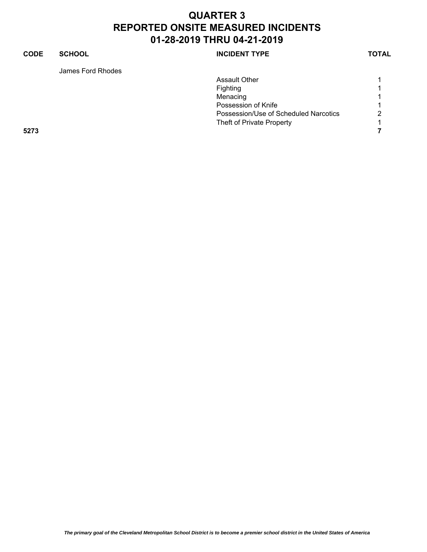#### **CODE SCHOOL SCHOOL INCIDENT TYPE TOTAL** James Ford Rhodes Assault Other 1 Fighting 1 and 1 and 1 and 1 and 1 and 1 and 1 and 1 and 1 and 1 and 1 and 1 and 1 and 1 and 1 and 1 and 1 and 1 and 1 and 1 and 1 and 1 and 1 and 1 and 1 and 1 and 1 and 1 and 1 and 1 and 1 and 1 and 1 and 1 and 1 and 1 a Menacing 1 Possession of Knife 1 and 1 and 1 and 1 and 1 and 1 and 1 and 1 and 1 and 1 and 1 and 1 and 1 and 1 and 1 and 1 Possession/Use of Scheduled Narcotics 2 Theft of Private Property 1 **5273 7**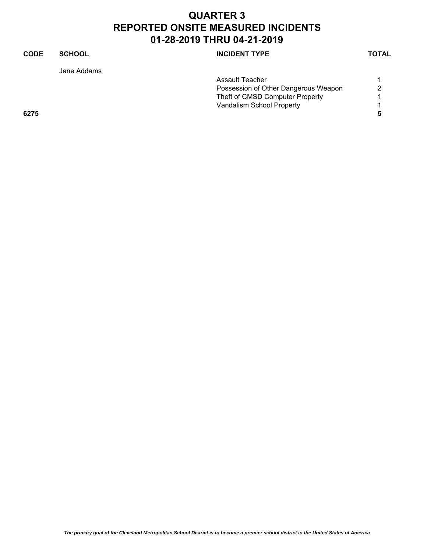| CODE | <b>SCHOOL</b> | <b>INCIDENT TYPE</b>                 | <b>TOTAL</b> |
|------|---------------|--------------------------------------|--------------|
|      | Jane Addams   |                                      |              |
|      |               | Assault Teacher                      |              |
|      |               | Possession of Other Dangerous Weapon | 2            |
|      |               | Theft of CMSD Computer Property      |              |
|      |               | Vandalism School Property            |              |
| 6275 |               |                                      | 5            |
|      |               |                                      |              |
|      |               |                                      |              |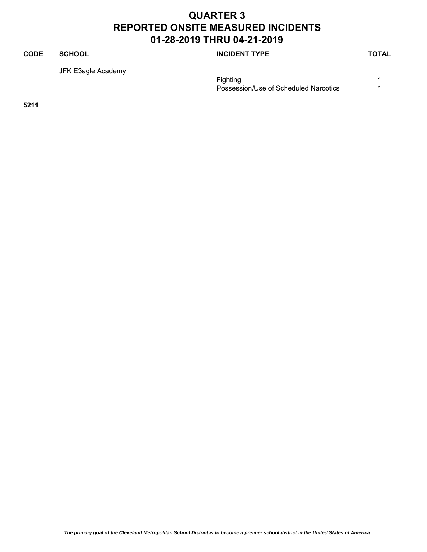#### **CODE SCHOOL SCHOOL INCIDENT TYPE TOTAL**

JFK E3agle Academy

Fighting 1999 and 1999 and 1999 and 1999 and 1999 and 1999 and 1999 and 1999 and 1999 and 1999 and 1999 and 19 Possession/Use of Scheduled Narcotics 1

**5211**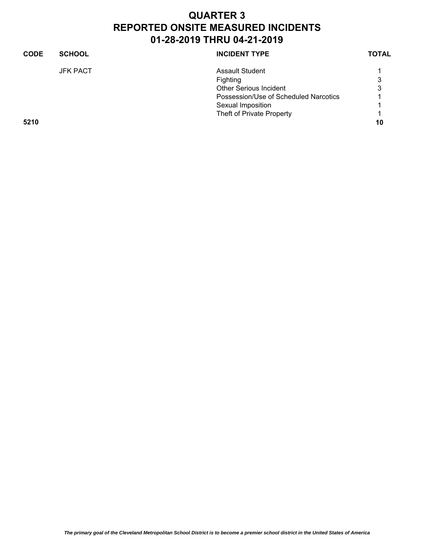| <b>CODE</b> | <b>SCHOOL</b>   | <b>INCIDENT TYPE</b>                  | <b>TOTAL</b> |
|-------------|-----------------|---------------------------------------|--------------|
|             | <b>JFK PACT</b> | <b>Assault Student</b>                |              |
|             |                 | <b>Fighting</b>                       | 3            |
|             |                 | <b>Other Serious Incident</b>         | 3            |
|             |                 | Possession/Use of Scheduled Narcotics |              |
|             |                 | Sexual Imposition                     |              |
|             |                 | Theft of Private Property             |              |
| 5210        |                 |                                       | 10           |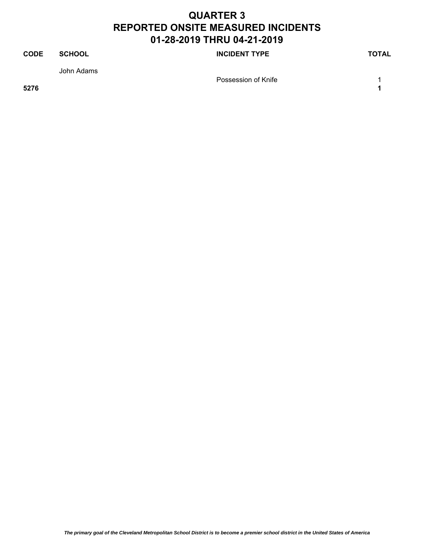#### **CODE SCHOOL SCHOOL INCIDENT TYPE TOTAL** John Adams Possession of Knife 1 and 1 and 1 and 1 and 1 and 1 and 1 and 1 and 1 and 1 and 1 and 1 and 1 and 1 and 1 and 1 **5276 1**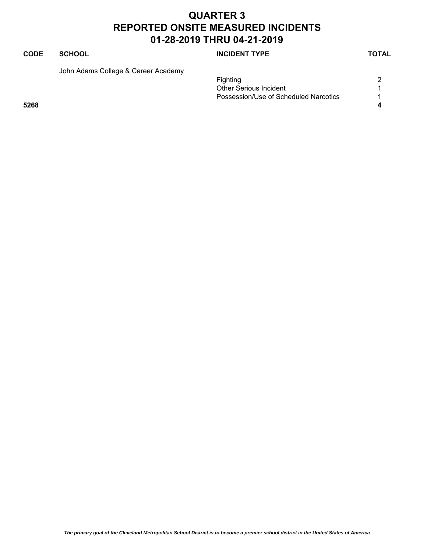#### **CODE SCHOOL SCHOOL SCHOOL SCHOOL SCHOOL**

John Adams College & Career Academy

|      | Fighting                              |   |
|------|---------------------------------------|---|
|      | <b>Other Serious Incident</b>         |   |
|      | Possession/Use of Scheduled Narcotics |   |
| 5268 |                                       | 4 |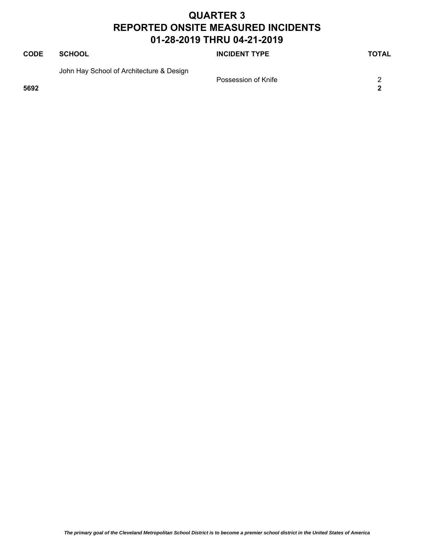| <b>CODE</b> | SCHOOL                                   | <b>INCIDENT TYPE</b> | TOTAL |
|-------------|------------------------------------------|----------------------|-------|
| 5692        | John Hay School of Architecture & Design | Possession of Knife  | 2     |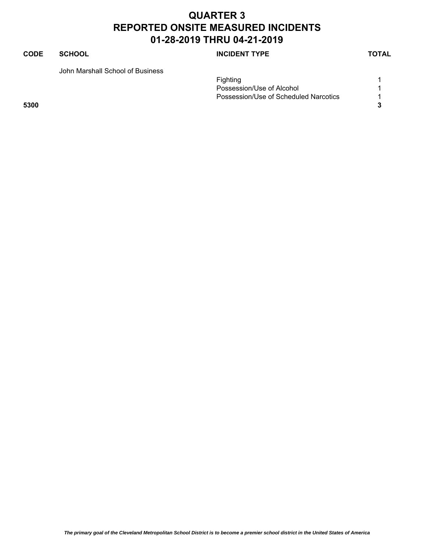#### **CODE SCHOOL SCHOOL SCHOOL SCHOOL SCHOOL**

John Marshall School of Business

|      | Fighting                              |  |
|------|---------------------------------------|--|
|      | Possession/Use of Alcohol             |  |
|      | Possession/Use of Scheduled Narcotics |  |
| 5300 |                                       |  |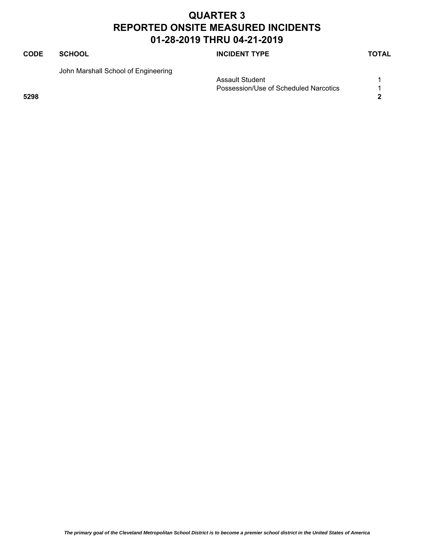#### **CODE SCHOOL SCHOOL INCIDENT TYPE TOTAL**

John Marshall School of Engineering

Assault Student 1 Possession/Use of Scheduled Narcotics 1 **5298 2**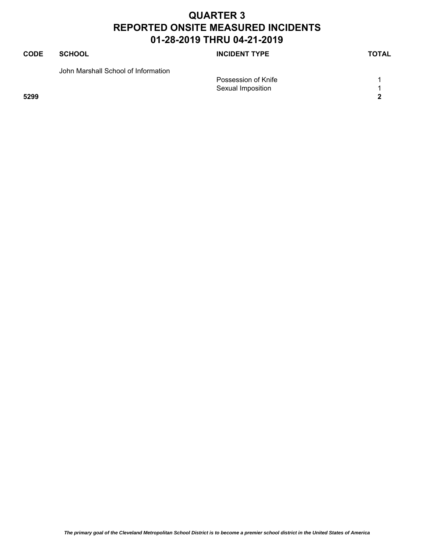| <b>CODE</b> | <b>SCHOOL</b>                       | <b>INCIDENT TYPE</b> | <b>TOTAL</b> |
|-------------|-------------------------------------|----------------------|--------------|
|             | John Marshall School of Information |                      |              |
|             |                                     | Possession of Knife  |              |
|             |                                     | Sexual Imposition    |              |
| 5299        |                                     |                      | 2            |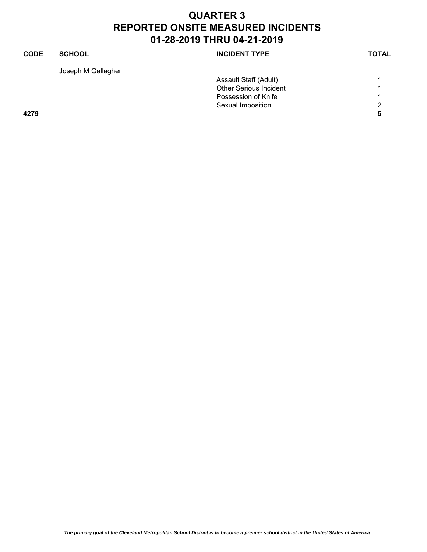| <b>CODE</b> | <b>SCHOOL</b>      | <b>INCIDENT TYPE</b>          | <b>TOTAL</b> |
|-------------|--------------------|-------------------------------|--------------|
|             | Joseph M Gallagher |                               |              |
|             |                    | Assault Staff (Adult)         |              |
|             |                    | <b>Other Serious Incident</b> |              |
|             |                    | Possession of Knife           |              |
|             |                    | Sexual Imposition             | 2            |
| 4279        |                    |                               | 5            |
|             |                    |                               |              |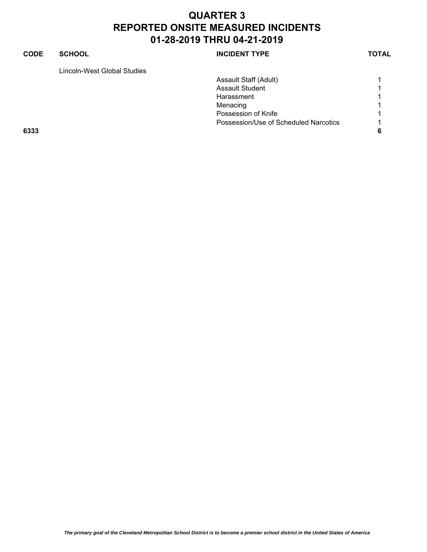#### **CODE SCHOOL SCHOOL INCIDENT TYPE TOTAL**

Lincoln-West Global Studies

| Lincoln-West Global Studies |                                       |   |
|-----------------------------|---------------------------------------|---|
|                             | Assault Staff (Adult)                 |   |
|                             | <b>Assault Student</b>                |   |
|                             | Harassment                            |   |
|                             | Menacing                              |   |
|                             | Possession of Knife                   |   |
|                             | Possession/Use of Scheduled Narcotics |   |
| 6333                        |                                       | 6 |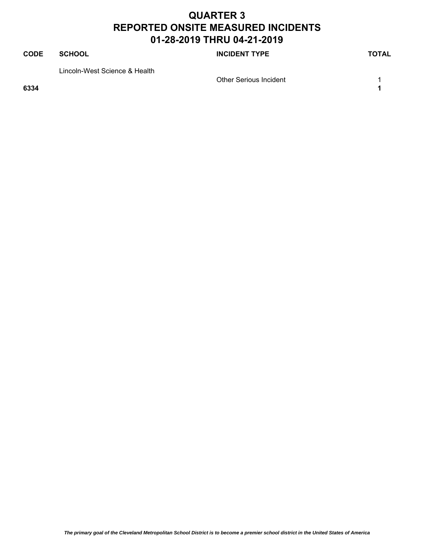# **CODE SCHOOL SCHOOL SCHOOL SCHOOL SCHOOL** Lincoln-West Science & Health

**6334 1**

Other Serious Incident 1

*The primary goal of the Cleveland Metropolitan School District is to become a premier school district in the United States of America*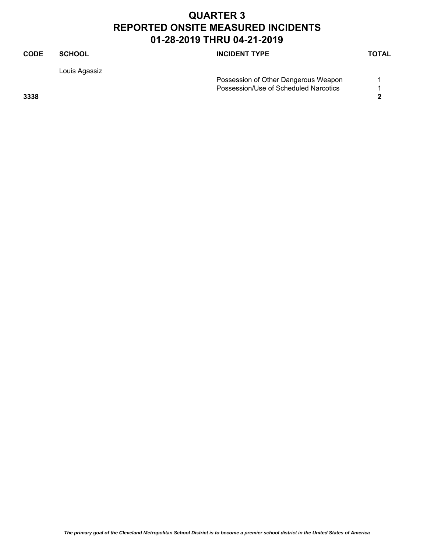| <b>CODE</b> | <b>SCHOOL</b> | <b>INCIDENT TYPE</b>                  | <b>TOTAL</b> |
|-------------|---------------|---------------------------------------|--------------|
|             | Louis Agassiz |                                       |              |
|             |               | Possession of Other Dangerous Weapon  |              |
|             |               | Possession/Use of Scheduled Narcotics |              |
| 3338        |               |                                       |              |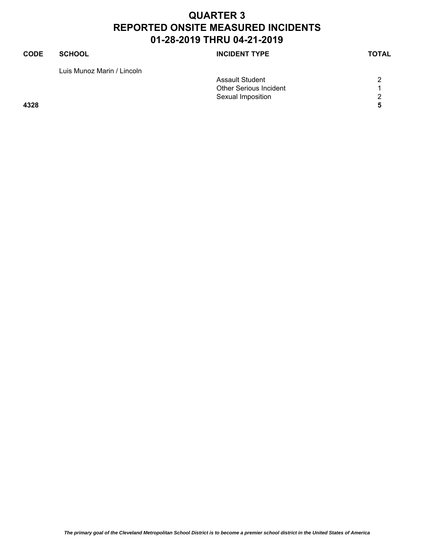| CODE | <b>SCHOOL</b>              | <b>INCIDENT TYPE</b>          | <b>TOTAL</b> |
|------|----------------------------|-------------------------------|--------------|
|      | Luis Munoz Marin / Lincoln |                               |              |
|      |                            | <b>Assault Student</b>        | 2            |
|      |                            | <b>Other Serious Incident</b> |              |
|      |                            | Sexual Imposition             | 2            |
| 4328 |                            |                               | 5            |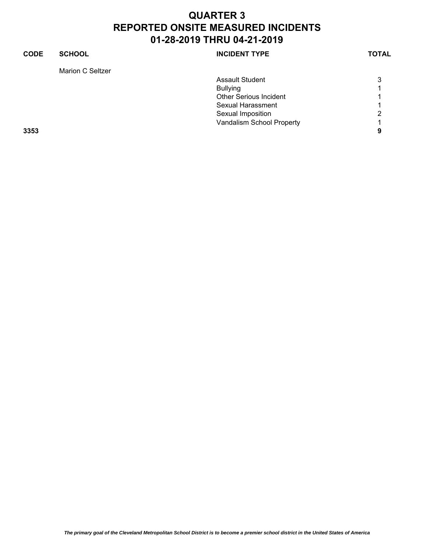| <b>INCIDENT TYPE</b>          | <b>CODE</b>                       |
|-------------------------------|-----------------------------------|
|                               |                                   |
| <b>Assault Student</b>        |                                   |
| <b>Bullying</b>               |                                   |
| <b>Other Serious Incident</b> |                                   |
| Sexual Harassment             |                                   |
| Sexual Imposition             |                                   |
| Vandalism School Property     |                                   |
|                               | 3353                              |
|                               |                                   |
|                               | <b>SCHOOL</b><br>Marion C Seltzer |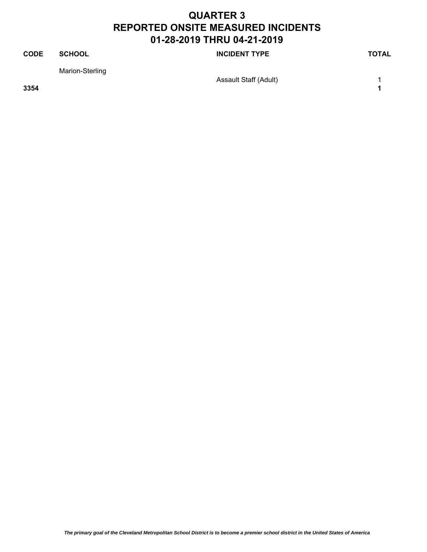#### **CODE SCHOOL SCHOOL SCHOOL SCHOOL SCHOOL** Marion-Sterling Assault Staff (Adult) 1 **3354 1**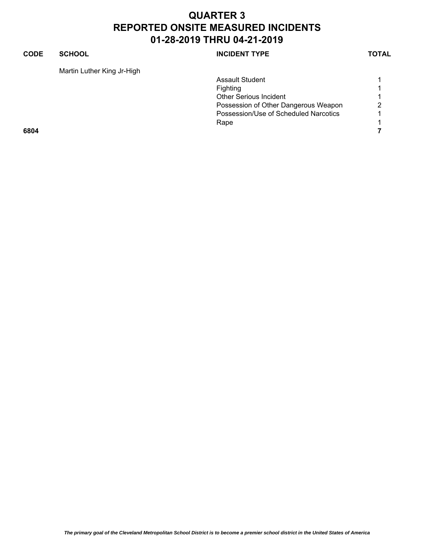#### **CODE SCHOOL SCHOOL INCIDENT TYPE TOTAL**

Martin Luther King Jr-High

| Martin Luther King Jr-High |                                       |   |
|----------------------------|---------------------------------------|---|
|                            | <b>Assault Student</b>                |   |
|                            | <b>Fighting</b>                       |   |
|                            | <b>Other Serious Incident</b>         |   |
|                            | Possession of Other Dangerous Weapon  | 2 |
|                            | Possession/Use of Scheduled Narcotics |   |
|                            | Rape                                  |   |
| 6804                       |                                       |   |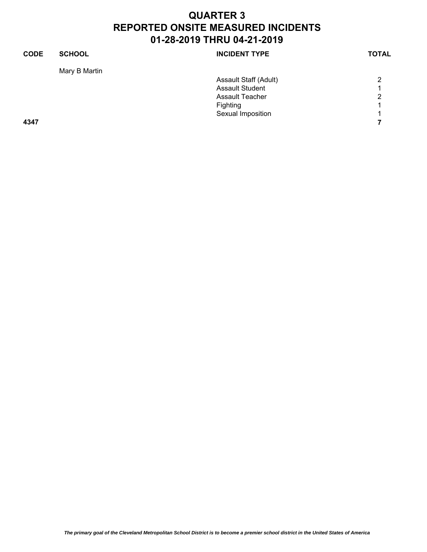| <b>CODE</b> | <b>SCHOOL</b> | <b>INCIDENT TYPE</b>   | <b>TOTAL</b> |
|-------------|---------------|------------------------|--------------|
|             | Mary B Martin |                        |              |
|             |               | Assault Staff (Adult)  | 2            |
|             |               | <b>Assault Student</b> |              |
|             |               | <b>Assault Teacher</b> | 2            |
|             |               | Fighting               |              |
|             |               | Sexual Imposition      |              |
| 4347        |               |                        |              |
|             |               |                        |              |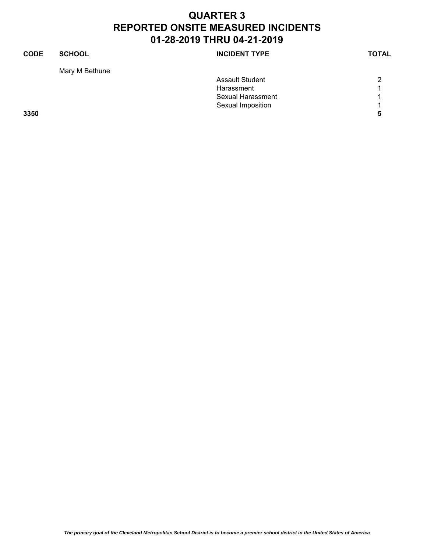| <b>SCHOOL</b> | <b>INCIDENT TYPE</b>   | <b>TOTAL</b> |
|---------------|------------------------|--------------|
|               |                        |              |
|               | <b>Assault Student</b> | 2            |
|               | Harassment             |              |
|               | Sexual Harassment      |              |
|               | Sexual Imposition      |              |
|               |                        | 5            |
|               | Mary M Bethune         |              |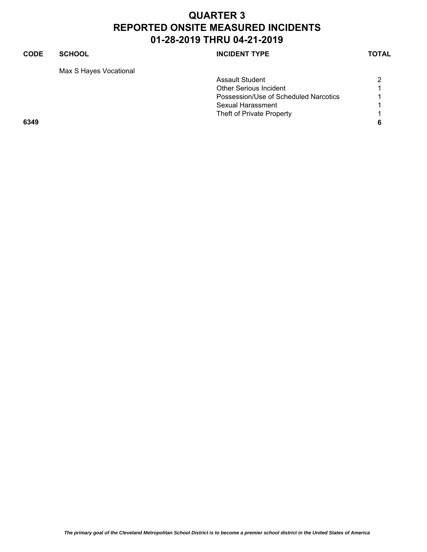#### **CODE SCHOOL INCIDENT TYPE TOTAL**

Max S Hayes Vocational

| <b>NCIDENT TYPE</b> |  |
|---------------------|--|
|---------------------|--|

|      | <b>Assault Student</b>                |  |
|------|---------------------------------------|--|
|      | <b>Other Serious Incident</b>         |  |
|      | Possession/Use of Scheduled Narcotics |  |
|      | Sexual Harassment                     |  |
|      | Theft of Private Property             |  |
| 6349 |                                       |  |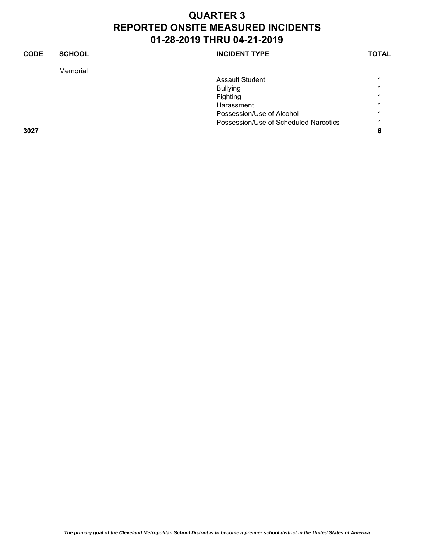| <b>CODE</b> | <b>SCHOOL</b> | <b>INCIDENT TYPE</b>                  | <b>TOTAL</b> |
|-------------|---------------|---------------------------------------|--------------|
|             | Memorial      |                                       |              |
|             |               | Assault Student                       |              |
|             |               | <b>Bullying</b>                       |              |
|             |               | Fighting                              |              |
|             |               | Harassment                            |              |
|             |               | Possession/Use of Alcohol             |              |
|             |               | Possession/Use of Scheduled Narcotics |              |
| 3027        |               |                                       |              |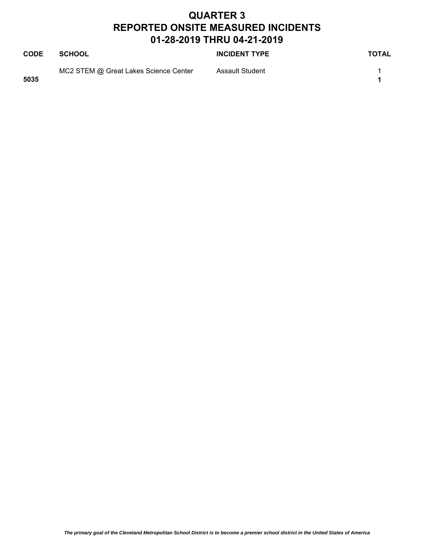| <b>CODE</b> | <b>SCHOOL</b>                         | <b>INCIDENT TYPE</b> | <b>TOTAL</b> |
|-------------|---------------------------------------|----------------------|--------------|
| 5035        | MC2 STEM @ Great Lakes Science Center | Assault Student      |              |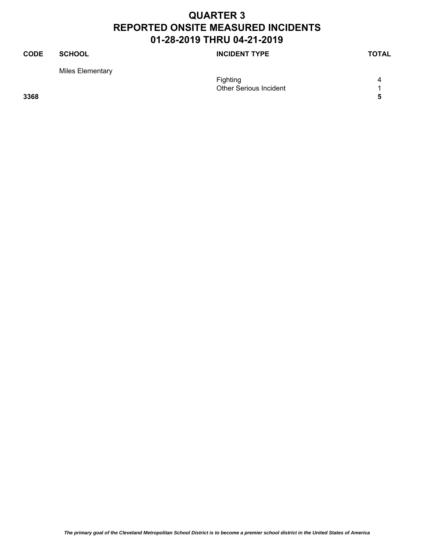#### **CODE SCHOOL SCHOOL SCHOOL SCHOOL SCHOOL** Miles Elementary Fighting 4 Other Serious Incident 1

**3368 5**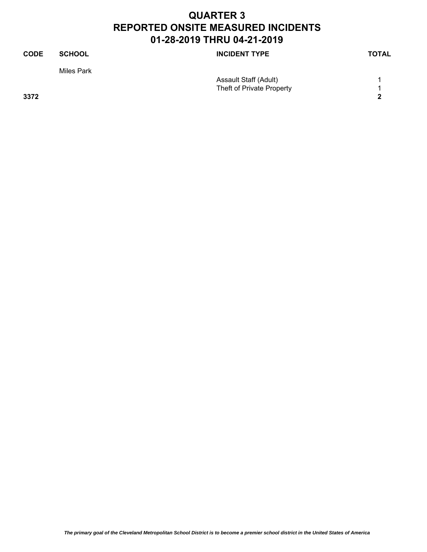| <b>CODE</b> | <b>SCHOOL</b> | <b>INCIDENT TYPE</b>         | <b>TOTAL</b> |
|-------------|---------------|------------------------------|--------------|
|             | Miles Park    |                              |              |
|             |               | <b>Assault Staff (Adult)</b> |              |
|             |               | Theft of Private Property    |              |
| 3372        |               |                              | າ            |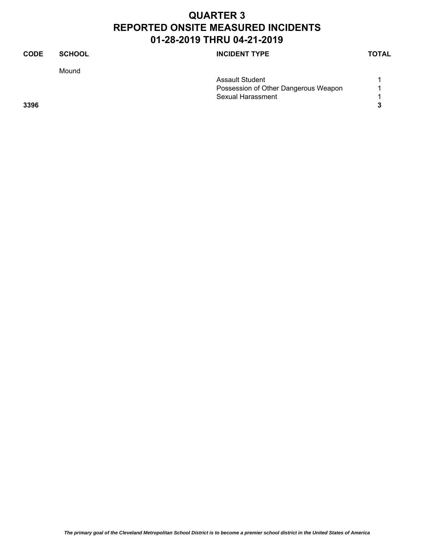| <b>CODE</b> | <b>SCHOOL</b> | <b>INCIDENT TYPE</b>                 | <b>TOTAL</b> |
|-------------|---------------|--------------------------------------|--------------|
|             | Mound         |                                      |              |
|             |               | <b>Assault Student</b>               |              |
|             |               | Possession of Other Dangerous Weapon | 1            |
|             |               | Sexual Harassment                    |              |
| 3396        |               |                                      | 3            |
|             |               |                                      |              |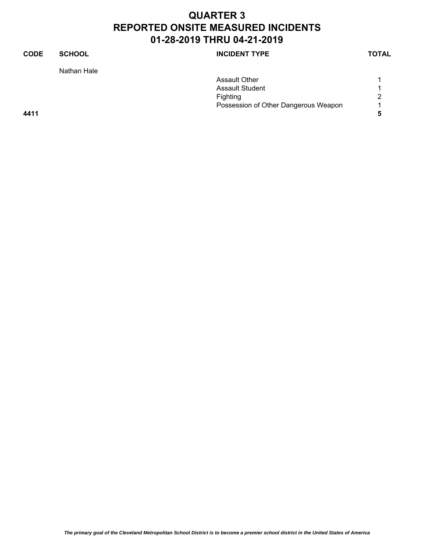| <b>CODE</b> | <b>SCHOOL</b> | <b>INCIDENT TYPE</b>                 | <b>TOTAL</b> |
|-------------|---------------|--------------------------------------|--------------|
|             | Nathan Hale   |                                      |              |
|             |               | <b>Assault Other</b>                 |              |
|             |               | <b>Assault Student</b>               | 1            |
|             |               | Fighting                             | 2            |
|             |               | Possession of Other Dangerous Weapon | 1            |
| 4411        |               |                                      | 5            |
|             |               |                                      |              |
|             |               |                                      |              |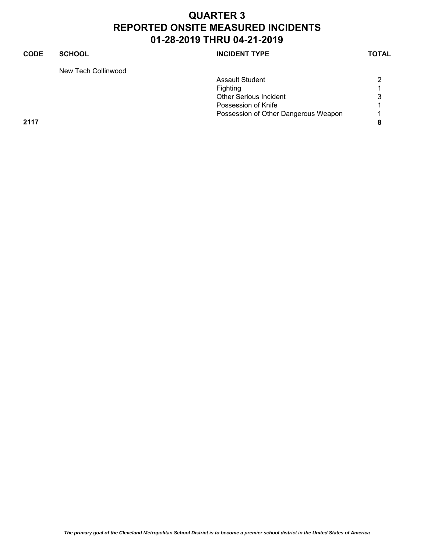#### **CODE SCHOOL SCHOOL INCIDENT TYPE TOTAL** New Tech Collinwood Assault Student 2 Fighting 1 and 1 and 1 and 1 and 1 and 1 and 1 and 1 and 1 and 1 and 1 and 1 and 1 and 1 and 1 and 1 and 1 and 1 and 1 and 1 and 1 and 1 and 1 and 1 and 1 and 1 and 1 and 1 and 1 and 1 and 1 and 1 and 1 and 1 and 1 and 1 a Other Serious Incident 3 Possession of Knife 1 and 1 and 1 and 1 and 1 and 1 and 1 and 1 and 1 and 1 and 1 and 1 and 1 and 1 and 1 and 1 Possession of Other Dangerous Weapon 1 **2117 8**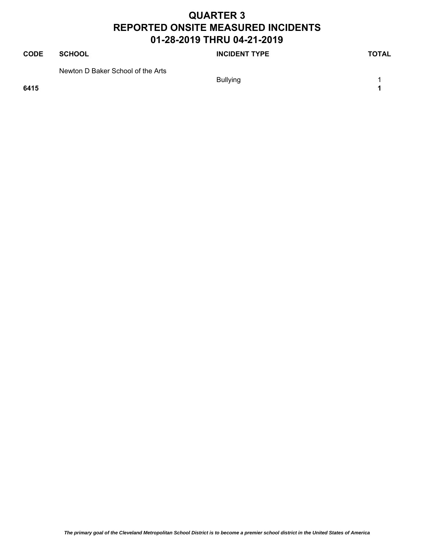| <b>CODE</b> | <b>SCHOOL</b>                     | <b>INCIDENT TYPE</b> | TOTAL |
|-------------|-----------------------------------|----------------------|-------|
| 6415        | Newton D Baker School of the Arts | <b>Bullying</b>      |       |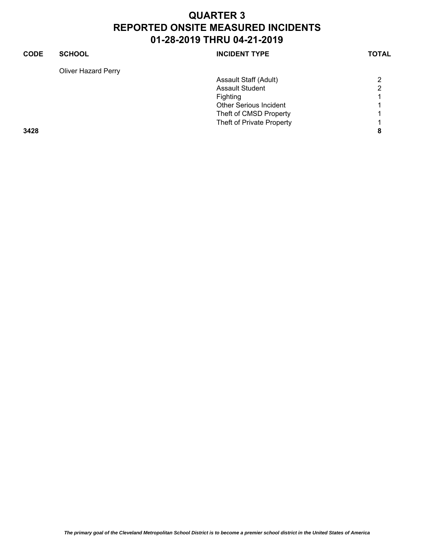| <b>CODE</b> | <b>SCHOOL</b>              | <b>INCIDENT TYPE</b>          | <b>TOTAL</b> |
|-------------|----------------------------|-------------------------------|--------------|
|             | <b>Oliver Hazard Perry</b> |                               |              |
|             |                            | Assault Staff (Adult)         | 2            |
|             |                            | <b>Assault Student</b>        | ົ            |
|             |                            | Fighting                      |              |
|             |                            | <b>Other Serious Incident</b> |              |
|             |                            | Theft of CMSD Property        |              |
|             |                            | Theft of Private Property     |              |
| 3428        |                            |                               | 8            |
|             |                            |                               |              |
|             |                            |                               |              |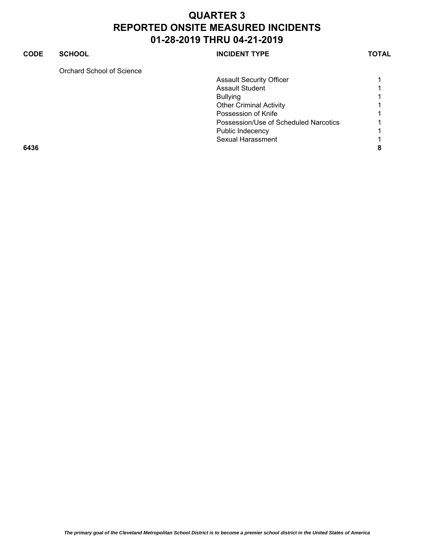#### **CODE SCHOOL SCHOOL INCIDENT TYPE TOTAL** Orchard School of Science Assault Security Officer 1 1 Assault Student 1 Bullying 1 Other Criminal Activity 1 Possession of Knife 1 and 1 and 1 and 1 and 1 and 1 and 1 and 1 and 1 and 1 and 1 and 1 and 1 and 1 and 1 and 1 Possession/Use of Scheduled Narcotics 1 Public Indecency 2008 1 Sexual Harassment 1 **6436 8**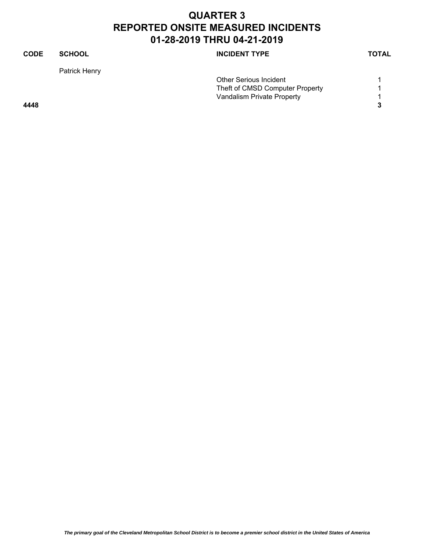| CODE | <b>SCHOOL</b> | <b>INCIDENT TYPE</b>            | <b>TOTAL</b> |
|------|---------------|---------------------------------|--------------|
|      | Patrick Henry |                                 |              |
|      |               | <b>Other Serious Incident</b>   |              |
|      |               | Theft of CMSD Computer Property |              |
|      |               | Vandalism Private Property      |              |
| 4448 |               |                                 | 3            |
|      |               |                                 |              |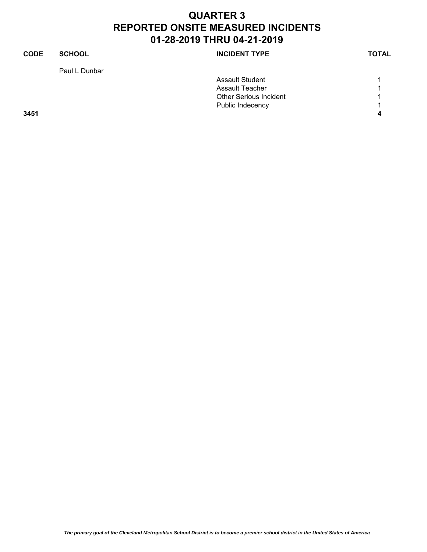| <b>CODE</b> | <b>SCHOOL</b> | <b>INCIDENT TYPE</b>          | <b>TOTAL</b> |
|-------------|---------------|-------------------------------|--------------|
|             | Paul L Dunbar |                               |              |
|             |               | <b>Assault Student</b>        |              |
|             |               | <b>Assault Teacher</b>        |              |
|             |               | <b>Other Serious Incident</b> |              |
|             |               | Public Indecency              | и            |
| 3451        |               |                               |              |
|             |               |                               |              |
|             |               |                               |              |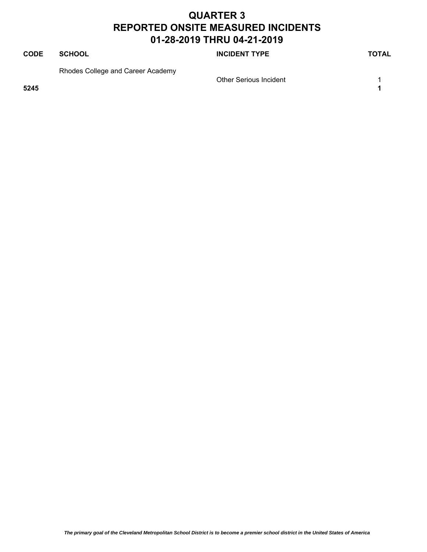| <b>CODE</b> | <b>SCHOOL</b>                     | <b>INCIDENT TYPE</b>          | TOTAL |
|-------------|-----------------------------------|-------------------------------|-------|
| 5245        | Rhodes College and Career Academy | <b>Other Serious Incident</b> |       |
|             |                                   |                               |       |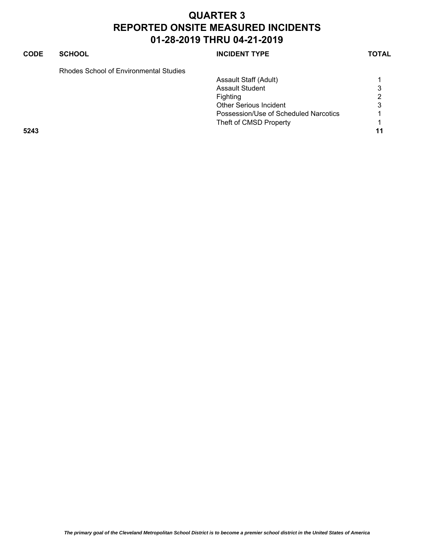| <b>SCHOOL</b>                          | <b>INCIDENT TYPE</b>                  | <b>TOTAL</b> |
|----------------------------------------|---------------------------------------|--------------|
| Rhodes School of Environmental Studies |                                       |              |
|                                        | Assault Staff (Adult)                 |              |
|                                        | <b>Assault Student</b>                | 3            |
|                                        | <b>Fighting</b>                       | 2            |
|                                        | <b>Other Serious Incident</b>         | 3            |
|                                        | Possession/Use of Scheduled Narcotics |              |
|                                        | Theft of CMSD Property                |              |
|                                        |                                       | 11           |
|                                        |                                       |              |
|                                        |                                       |              |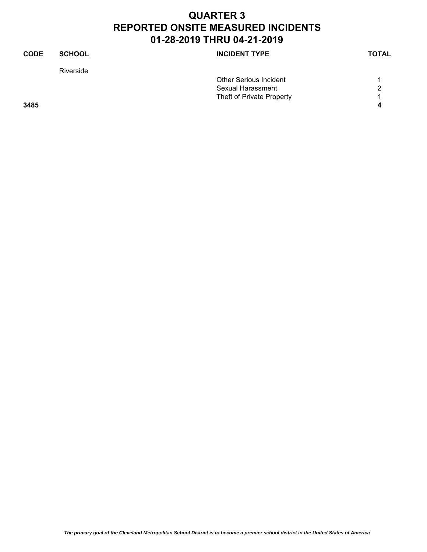| <b>CODE</b> | <b>SCHOOL</b> | <b>INCIDENT TYPE</b>          | <b>TOTAL</b> |
|-------------|---------------|-------------------------------|--------------|
|             | Riverside     |                               |              |
|             |               | <b>Other Serious Incident</b> |              |
|             |               | Sexual Harassment             | 2            |
|             |               | Theft of Private Property     | 1            |
| 3485        |               |                               | 4            |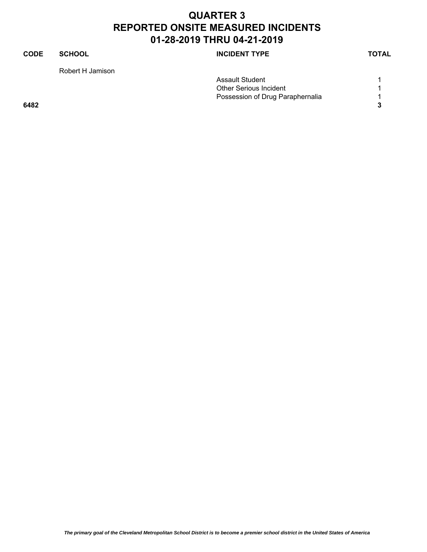| <b>CODE</b><br><b>SCHOOL</b><br><b>INCIDENT TYPE</b> | <b>TOTAL</b> |
|------------------------------------------------------|--------------|
| Robert H Jamison                                     |              |
| Assault Student                                      |              |
| <b>Other Serious Incident</b>                        |              |
| Possession of Drug Paraphernalia                     |              |
| 6482                                                 |              |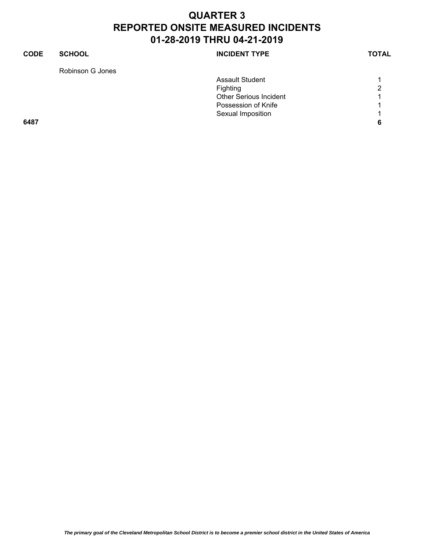| 2 |
|---|
|   |
|   |
|   |
| 6 |
|   |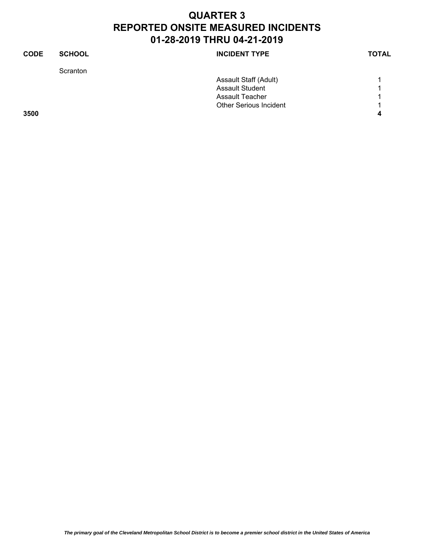| <b>CODE</b> | <b>SCHOOL</b> | <b>INCIDENT TYPE</b>          | <b>TOTAL</b> |
|-------------|---------------|-------------------------------|--------------|
|             | Scranton      |                               |              |
|             |               | Assault Staff (Adult)         |              |
|             |               | <b>Assault Student</b>        |              |
|             |               | <b>Assault Teacher</b>        | ⊣            |
|             |               | <b>Other Serious Incident</b> |              |
| 3500        |               |                               | 4            |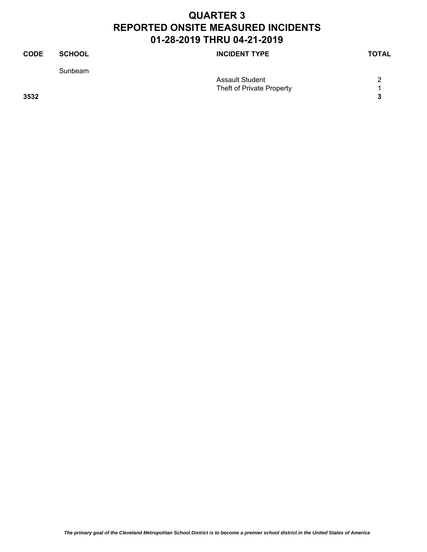| <b>CODE</b> | <b>SCHOOL</b> | <b>INCIDENT TYPE</b>      | <b>TOTAL</b> |
|-------------|---------------|---------------------------|--------------|
|             | Sunbeam       |                           |              |
|             |               | Assault Student           | 2            |
|             |               | Theft of Private Property |              |
| 3532        |               |                           | 3            |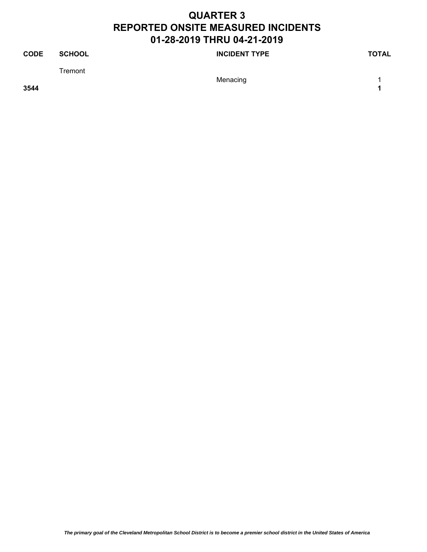| <b>CODE</b> | <b>SCHOOL</b> | <b>INCIDENT TYPE</b> | TOTAL |
|-------------|---------------|----------------------|-------|
|             | Tremont       |                      |       |
|             |               | Menacing             |       |
| 3544        |               |                      |       |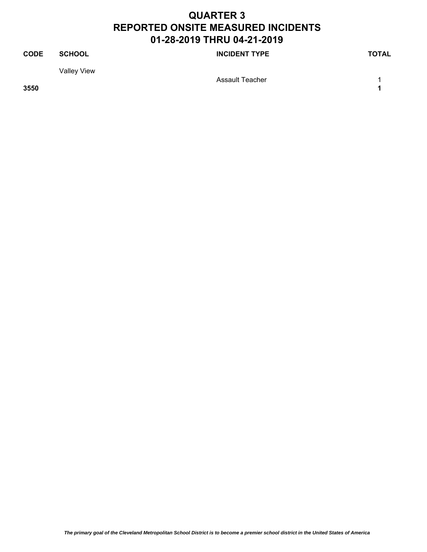#### **CODE SCHOOL SCHOOL INCIDENT TYPE TOTAL** Valley View Assault Teacher 1 1 **3550 1**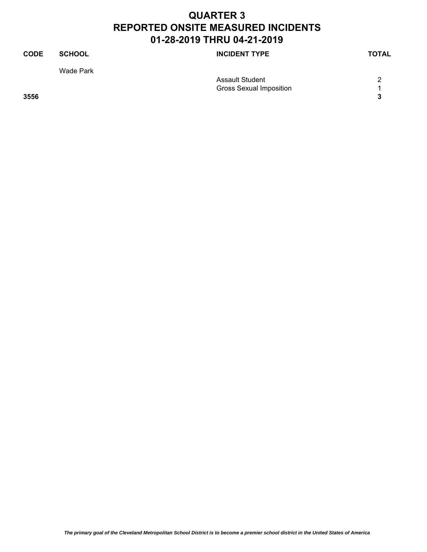| <b>CODE</b> | <b>SCHOOL</b> | <b>INCIDENT TYPE</b>           | <b>TOTAL</b> |
|-------------|---------------|--------------------------------|--------------|
|             | Wade Park     |                                |              |
|             |               | Assault Student                | っ            |
|             |               | <b>Gross Sexual Imposition</b> |              |
| 3556        |               |                                | 3            |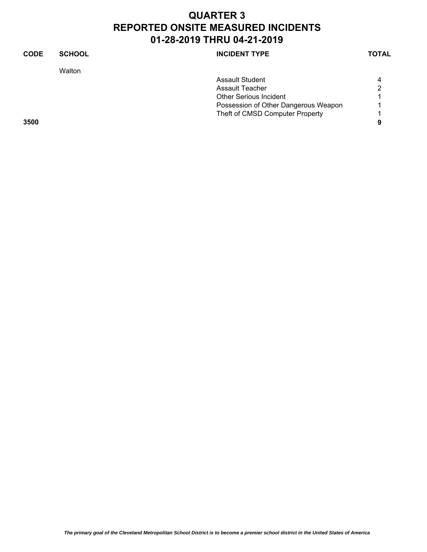| <b>CODE</b> | <b>SCHOOL</b> | <b>INCIDENT TYPE</b>                 | <b>TOTAL</b> |
|-------------|---------------|--------------------------------------|--------------|
|             | Walton        |                                      |              |
|             |               | Assault Student                      | 4            |
|             |               | Assault Teacher                      | 2            |
|             |               | <b>Other Serious Incident</b>        |              |
|             |               | Possession of Other Dangerous Weapon |              |
|             |               | Theft of CMSD Computer Property      |              |
| 3500        |               |                                      | 9            |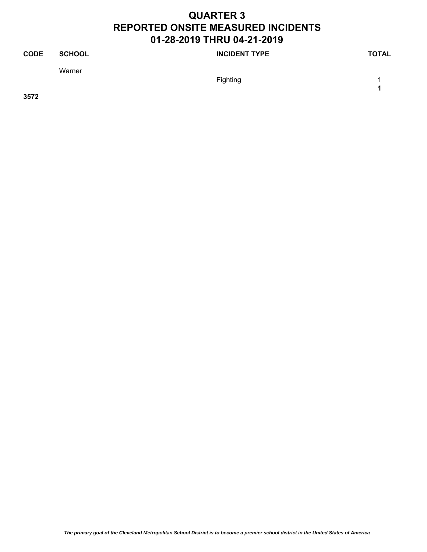| <b>CODE</b> | <b>SCHOOL</b> | <b>INCIDENT TYPE</b> | <b>TOTAL</b> |
|-------------|---------------|----------------------|--------------|
|             | Warner        | Fighting             |              |

**3572**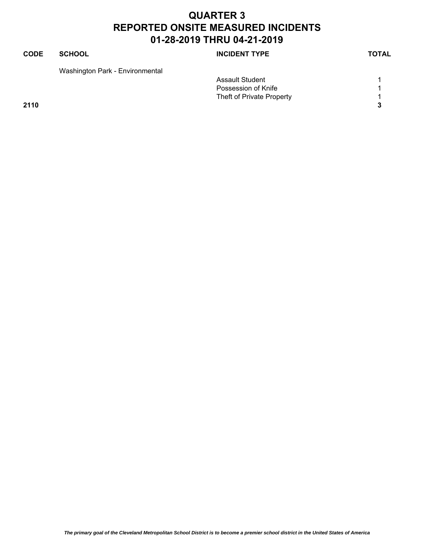| CODE | <b>SCHOOL</b>                   | <b>INCIDENT TYPE</b>      | <b>TOTAL</b> |
|------|---------------------------------|---------------------------|--------------|
|      | Washington Park - Environmental |                           |              |
|      |                                 | <b>Assault Student</b>    |              |
|      |                                 | Possession of Knife       |              |
|      |                                 | Theft of Private Property |              |
| 2110 |                                 |                           | 3            |
|      |                                 |                           |              |
|      |                                 |                           |              |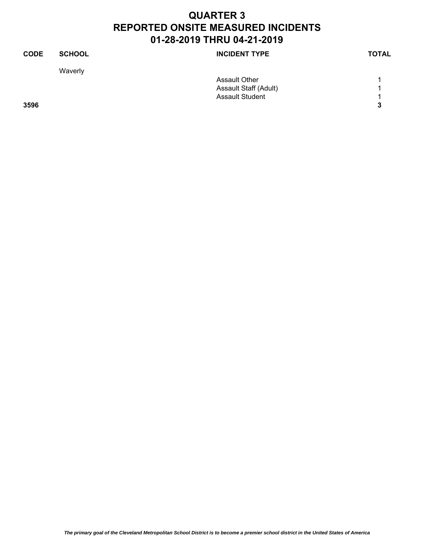| <b>CODE</b> | <b>SCHOOL</b> | <b>INCIDENT TYPE</b>   | <b>TOTAL</b> |
|-------------|---------------|------------------------|--------------|
|             | Waverly       |                        |              |
|             |               | <b>Assault Other</b>   |              |
|             |               | Assault Staff (Adult)  | 1            |
|             |               | <b>Assault Student</b> | 4            |
| 3596        |               |                        | 3            |
|             |               |                        |              |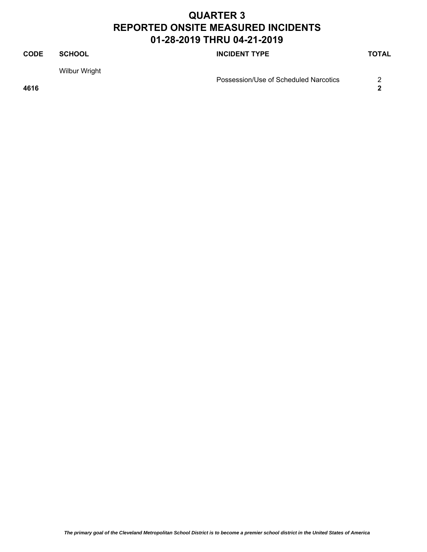#### **CODE SCHOOL SCHOOL INCIDENT TYPE TOTAL** Wilbur Wright Possession/Use of Scheduled Narcotics 2 **4616 2**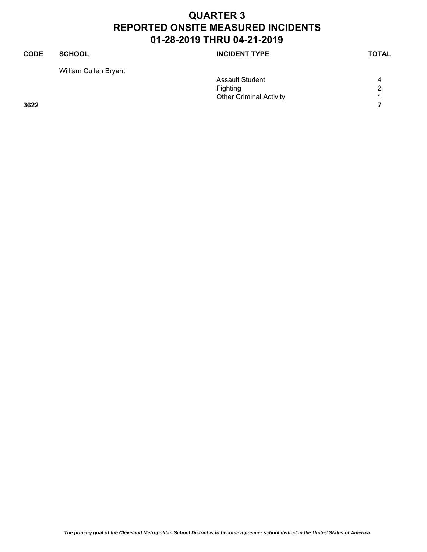| <b>CODE</b> | <b>SCHOOL</b>         | <b>INCIDENT TYPE</b>           | <b>TOTAL</b> |
|-------------|-----------------------|--------------------------------|--------------|
|             | William Cullen Bryant |                                |              |
|             |                       | <b>Assault Student</b>         | 4            |
|             |                       | Fighting                       | 2            |
|             |                       | <b>Other Criminal Activity</b> | ◀            |
| 3622        |                       |                                |              |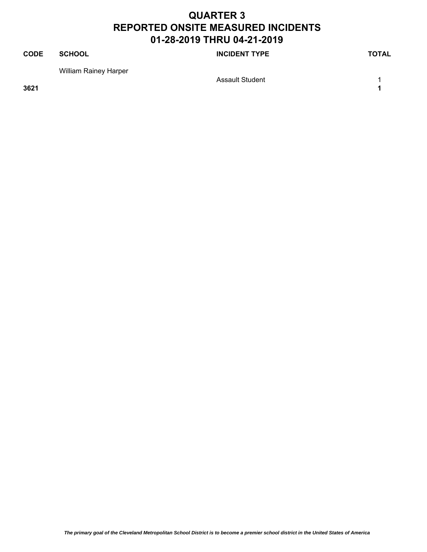#### **CODE SCHOOL SCHOOL INCIDENT TYPE TOTAL** William Rainey Harper Assault Student 1 1 **3621 1**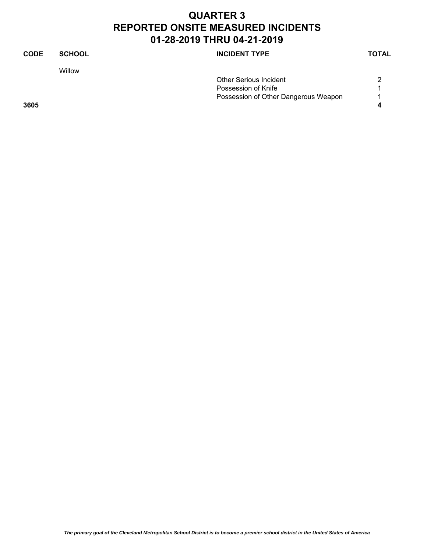| <b>CODE</b> | <b>SCHOOL</b> | <b>INCIDENT TYPE</b>                 | <b>TOTAL</b> |
|-------------|---------------|--------------------------------------|--------------|
|             | Willow        |                                      |              |
|             |               | <b>Other Serious Incident</b>        | 2            |
|             |               | Possession of Knife                  |              |
|             |               | Possession of Other Dangerous Weapon | 1            |
| 3605        |               |                                      | 4            |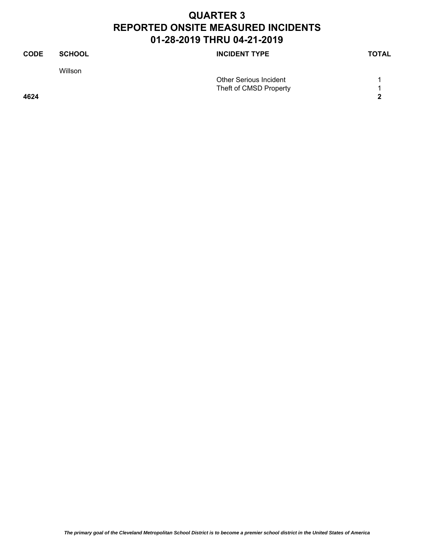| <b>CODE</b> | <b>SCHOOL</b> | <b>INCIDENT TYPE</b>          | <b>TOTAL</b> |
|-------------|---------------|-------------------------------|--------------|
|             | Willson       |                               |              |
|             |               | <b>Other Serious Incident</b> |              |
|             |               | Theft of CMSD Property        |              |
| 4624        |               |                               | 2            |